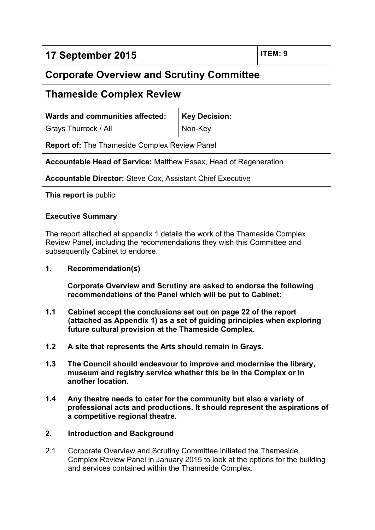| 17 September 2015                                                       |                      | ITEM: 9 |
|-------------------------------------------------------------------------|----------------------|---------|
| <b>Corporate Overview and Scrutiny Committee</b>                        |                      |         |
| <b>Thameside Complex Review</b>                                         |                      |         |
| Wards and communities affected:                                         | <b>Key Decision:</b> |         |
| Grays Thurrock / All                                                    | Non-Key              |         |
| <b>Report of:</b> The Thameside Complex Review Panel                    |                      |         |
| <b>Accountable Head of Service: Matthew Essex, Head of Regeneration</b> |                      |         |
| <b>Accountable Director: Steve Cox, Assistant Chief Executive</b>       |                      |         |
| This report is public                                                   |                      |         |

# **Executive Summary**

The report attached at appendix 1 details the work of the Thameside Complex Review Panel, including the recommendations they wish this Committee and subsequently Cabinet to endorse.

**1. Recommendation(s)**

**Corporate Overview and Scrutiny are asked to endorse the following recommendations of the Panel which will be put to Cabinet:**

- **1.1 Cabinet accept the conclusions set out on page 22 of the report (attached as Appendix 1) as a set of guiding principles when exploring future cultural provision at the Thameside Complex.**
- **1.2 A site that represents the Arts should remain in Grays.**
- **1.3 The Council should endeavour to improve and modernise the library, museum and registry service whether this be in the Complex or in another location.**
- **1.4 Any theatre needs to cater for the community but also a variety of professional acts and productions. It should represent the aspirations of a competitive regional theatre.**

# **2. Introduction and Background**

2.1 Corporate Overview and Scrutiny Committee initiated the Thameside Complex Review Panel in January 2015 to look at the options for the building and services contained within the Thameside Complex.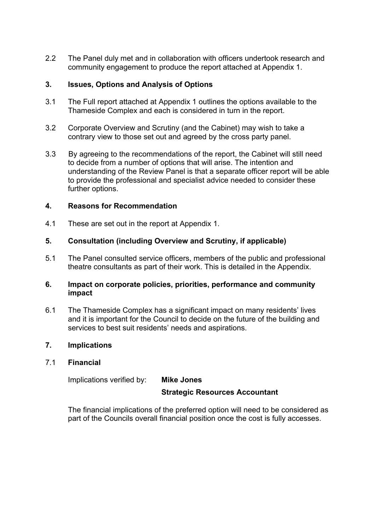2.2 The Panel duly met and in collaboration with officers undertook research and community engagement to produce the report attached at Appendix 1.

# **3. Issues, Options and Analysis of Options**

- 3.1 The Full report attached at Appendix 1 outlines the options available to the Thameside Complex and each is considered in turn in the report.
- 3.2 Corporate Overview and Scrutiny (and the Cabinet) may wish to take a contrary view to those set out and agreed by the cross party panel.
- 3.3 By agreeing to the recommendations of the report, the Cabinet will still need to decide from a number of options that will arise. The intention and understanding of the Review Panel is that a separate officer report will be able to provide the professional and specialist advice needed to consider these further options.

#### **4. Reasons for Recommendation**

4.1 These are set out in the report at Appendix 1.

#### **5. Consultation (including Overview and Scrutiny, if applicable)**

5.1 The Panel consulted service officers, members of the public and professional theatre consultants as part of their work. This is detailed in the Appendix.

#### **6. Impact on corporate policies, priorities, performance and community impact**

6.1 The Thameside Complex has a significant impact on many residents' lives and it is important for the Council to decide on the future of the building and services to best suit residents' needs and aspirations.

#### **7. Implications**

#### 7.1 **Financial**

Implications verified by: **Mike Jones**

#### **Strategic Resources Accountant**

The financial implications of the preferred option will need to be considered as part of the Councils overall financial position once the cost is fully accesses.